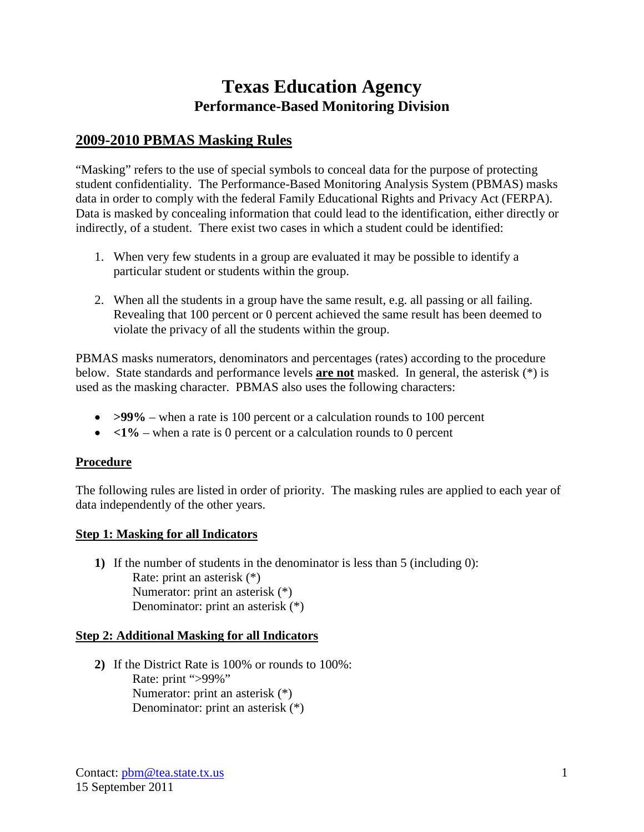# **Texas Education Agency Performance-Based Monitoring Division**

## **2009-2010 PBMAS Masking Rules**

"Masking" refers to the use of special symbols to conceal data for the purpose of protecting student confidentiality. The Performance-Based Monitoring Analysis System (PBMAS) masks data in order to comply with the federal Family Educational Rights and Privacy Act (FERPA). Data is masked by concealing information that could lead to the identification, either directly or indirectly, of a student. There exist two cases in which a student could be identified:

- 1. When very few students in a group are evaluated it may be possible to identify a particular student or students within the group.
- 2. When all the students in a group have the same result, e.g. all passing or all failing. Revealing that 100 percent or 0 percent achieved the same result has been deemed to violate the privacy of all the students within the group.

PBMAS masks numerators, denominators and percentages (rates) according to the procedure below. State standards and performance levels **are not** masked. In general, the asterisk (\*) is used as the masking character. PBMAS also uses the following characters:

- **>99%** when a rate is 100 percent or a calculation rounds to 100 percent
- $\langle 1\% \text{when a rate is 0 percent or a calculation rounds to 0 percent}$

#### **Procedure**

The following rules are listed in order of priority. The masking rules are applied to each year of data independently of the other years.

#### **Step 1: Masking for all Indicators**

**1)** If the number of students in the denominator is less than 5 (including 0): Rate: print an asterisk (\*) Numerator: print an asterisk (\*) Denominator: print an asterisk (\*)

#### **Step 2: Additional Masking for all Indicators**

**2)** If the District Rate is 100% or rounds to 100%: Rate: print ">99%" Numerator: print an asterisk (\*) Denominator: print an asterisk (\*)